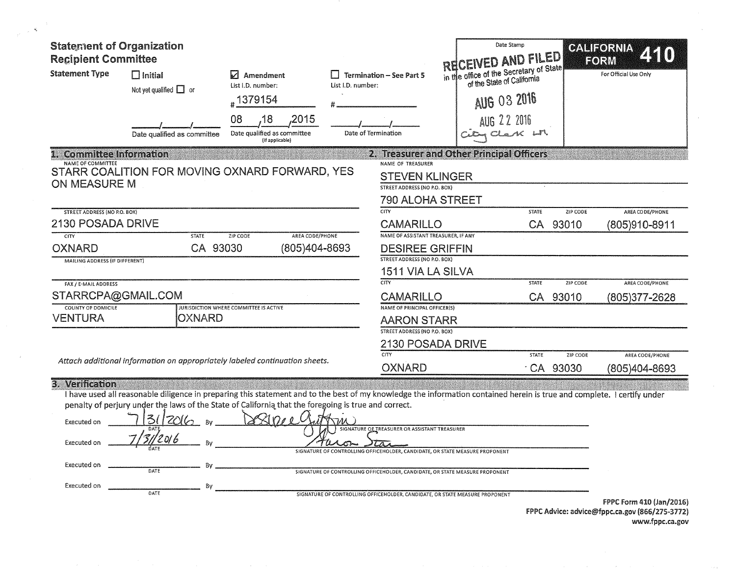| <b>Statement of Organization</b><br><b>Recipient Committee</b><br><b>Statement Type</b> | $\Box$ Initial<br>Not yet qualified $\Box$ or<br>Date qualified as committee                                                                                                                                                                                                                                                              | Amendment<br>M<br>List I.D. number:<br>#1379154<br>08<br>,18<br>,2015<br>Date qualified as committee<br>(If applicable) | List I.D. number: | <b>Termination - See Part 5</b><br>Date of Termination                                                                                                                                                                                                                           | <b>RECEIVED AND FILED</b><br>in the office of the Secretary of State<br>of the State of California<br><b>AUG 03 2016</b><br>AUG 22 2016 | Date Stamp   |                      | CALIFORNIA<br>RORM<br>For Official Use Only |
|-----------------------------------------------------------------------------------------|-------------------------------------------------------------------------------------------------------------------------------------------------------------------------------------------------------------------------------------------------------------------------------------------------------------------------------------------|-------------------------------------------------------------------------------------------------------------------------|-------------------|----------------------------------------------------------------------------------------------------------------------------------------------------------------------------------------------------------------------------------------------------------------------------------|-----------------------------------------------------------------------------------------------------------------------------------------|--------------|----------------------|---------------------------------------------|
| <b>Committee Information</b>                                                            |                                                                                                                                                                                                                                                                                                                                           |                                                                                                                         |                   | 2. Treasurer and Other Principal Officers                                                                                                                                                                                                                                        |                                                                                                                                         |              |                      |                                             |
| NAME OF COMMITTEE<br><b>ON MEASURE M</b>                                                | STARR COALITION FOR MOVING OXNARD FORWARD, YES                                                                                                                                                                                                                                                                                            |                                                                                                                         |                   | NAME OF TREASURER<br><b>STEVEN KLINGER</b><br>STREET ADDRESS (NO P.O. BOX)<br><b>790 ALOHA STREET</b>                                                                                                                                                                            |                                                                                                                                         |              |                      |                                             |
| <b>STREET ADDRESS (NO P.O. BOX)</b>                                                     |                                                                                                                                                                                                                                                                                                                                           |                                                                                                                         |                   | CITY                                                                                                                                                                                                                                                                             |                                                                                                                                         | <b>STATE</b> | ZIP CODE             | AREA CODE/PHONE                             |
| 2130 POSADA DRIVE                                                                       |                                                                                                                                                                                                                                                                                                                                           |                                                                                                                         |                   | <b>CAMARILLO</b>                                                                                                                                                                                                                                                                 |                                                                                                                                         | CA           | 93010                | (805)910-8911                               |
| CITY<br><b>OXNARD</b><br>MAILING ADDRESS (IF DIFFERENT)                                 | <b>STATE</b><br>CA 93030                                                                                                                                                                                                                                                                                                                  | AREA CODE/PHONE<br>ZIP CODE<br>(805)404-8693                                                                            |                   | NAME OF ASSISTANT TREASURER, IF ANY<br><b>DESIREE GRIFFIN</b><br>STREET ADDRESS (NO P.O. BOX)<br>1511 VIA LA SILVA                                                                                                                                                               |                                                                                                                                         |              |                      |                                             |
| FAX / E-MAIL ADDRESS                                                                    |                                                                                                                                                                                                                                                                                                                                           |                                                                                                                         |                   | <b>CITY</b>                                                                                                                                                                                                                                                                      |                                                                                                                                         | <b>STATE</b> | ZIP CODE             | <b>AREA CODE/PHONE</b>                      |
| STARRCPA@GMAIL.COM                                                                      |                                                                                                                                                                                                                                                                                                                                           |                                                                                                                         |                   | <b>CAMARILLO</b>                                                                                                                                                                                                                                                                 |                                                                                                                                         |              | CA 93010             | (805)377-2628                               |
| <b>COUNTY OF DOMICILE</b><br>VENTURA                                                    | <b>OXNARD</b>                                                                                                                                                                                                                                                                                                                             | <b>JURISDICTION WHERE COMMITTEE IS ACTIVE</b>                                                                           |                   | NAME OF PRINCIPAL OFFICER(S)<br><b>AARON STARR</b><br>STREET ADDRESS (NO P.O. BOX)                                                                                                                                                                                               |                                                                                                                                         |              |                      |                                             |
|                                                                                         |                                                                                                                                                                                                                                                                                                                                           |                                                                                                                         |                   | 2130 POSADA DRIVE                                                                                                                                                                                                                                                                |                                                                                                                                         |              |                      |                                             |
|                                                                                         | Attach additional information on appropriately labeled continuation sheets.                                                                                                                                                                                                                                                               |                                                                                                                         |                   | CITY<br><b>OXNARD</b>                                                                                                                                                                                                                                                            |                                                                                                                                         | <b>STATE</b> | ZIP CODE<br>CA 93030 | AREA CODE/PHONE<br>(805)404-8693            |
| 3. Verification<br>Executed on<br>Executed on<br>Executed on<br>Executed on             | I have used all reasonable diligence in preparing this statement and to the best of my knowledge the information contained herein is true and complete. I certify under<br>penalty of perjury under the laws of the State of California that the foregoing is true and correct.<br><b>Bv</b><br>'2 oi 6<br>Bv<br>Bv<br>DATE<br>By<br>DATE |                                                                                                                         |                   | SIGNATURE OF TREASURER OR ASSISTANT TREASURER<br>CONTROLLING OFFICEHOLDER, CANDIDATE, OR STATE MEASURE PROPONENT<br>SIGNATURE OF CONTROLLING OFFICEHOLDER, CANDIDATE, OR STATE MEASURE PROPONENT<br>SIGNATURE OF CONTROLLING OFFICEHOLDER, CANDIDATE, OR STATE MEASURE PROPONENT |                                                                                                                                         |              |                      | FPPC Form 410 (Jan/2016)                    |

 $\sim$   $\alpha$  .

FPPC Advice: advke@fppc.ca.gov (866/275-3772) www.fppc.ca.gov  $\mathcal{L}$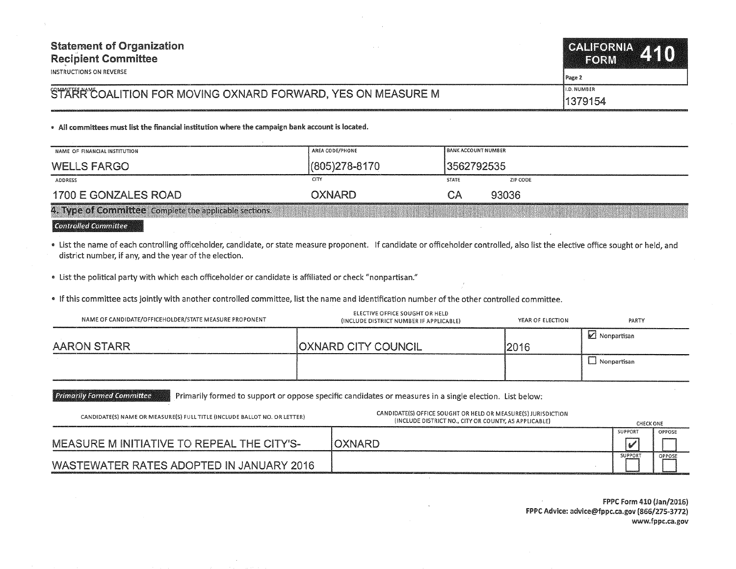| <b>Statement of Organization</b><br><b>Recipient Committee</b><br>INSTRUCTIONS ON REVERSE | CALIFORNIA 410<br>FORM            |
|-------------------------------------------------------------------------------------------|-----------------------------------|
| STARRY COALITION FOR MOVING OXNARD FORWARD, YES ON MEASURE M                              | Page 2<br>II.D. NUMBER<br>1379154 |
|                                                                                           |                                   |

• All committees must list the financial institution where the campaign bank account is located.

| NAME OF FINANCIAL INSTITUTION                          | AREA CODE/PHONE   | <b>BANK ACCOUNT NUMBER</b> |          |
|--------------------------------------------------------|-------------------|----------------------------|----------|
| <b>WELLS FARGO</b>                                     | $(805)278 - 8170$ | 3562792535                 |          |
| <b>ADDRESS</b>                                         | <b>CITY</b>       | <b>STATE</b>               | ZIP CODE |
| 1700 E GONZALES ROAD                                   | <b>OXNARD</b>     | CА                         | 93036    |
| 4. Type of Committee Complete the applicable sections. |                   |                            |          |

## **Controlled Committee**

• List the name of each controlling officeholder, candidate, or state measure proponent. If candidate or officeholder controlled, also list the elective office sought or held, and district number, if any, and the year of the election.

e List the political party with which each officeholder or candidate is affiliated or check "nonpartisan."

• If this committee acts jointly with another controlled committee, list the name and identification number of the other controlled committee.

| NAME OF CANDIDATE/OFFICEHOLDER/STATE MEASURE PROPONENT | ELECTIVE OFFICE SOUGHT OR HELD<br>(INCLUDE DISTRICT NUMBER IF APPLICABLE) | YEAR OF ELECTION | PARTY              |
|--------------------------------------------------------|---------------------------------------------------------------------------|------------------|--------------------|
| AARON STARR                                            | <b>OXNARD CITY COUNCIL</b>                                                | 2016             | ■ Nonpartisan      |
|                                                        |                                                                           |                  | $\Box$ Nonpartisan |

**Primarily Formed Committee** Primarily formed to support or oppose specific candidates or measures in a single election. list below:

| CANDIDATE(S) NAME OR MEASURE(S) FULL TITLE (INCLUDE BALLOT NO. OR LETTER) | CANDIDATE(S) OFFICE SOUGHT OR HELD OR MEASURE(S) JURISDICTION<br>(INCLUDE DISTRICT NO., CITY OR COUNTY, AS APPLICABLE) | <b>CHECK ONE</b> |        |
|---------------------------------------------------------------------------|------------------------------------------------------------------------------------------------------------------------|------------------|--------|
| MEASURE M INITIATIVE TO REPEAL THE CITY'S-                                | <b>OXNARD</b>                                                                                                          | SUPPORT          | OPPOSE |
| WASTEWATER RATES ADOPTED IN JANUARY 2016                                  |                                                                                                                        | <b>SUPPORT</b>   | OPPOSE |

FPPC Form 410 (fan/2016) FPPC Advice: advice@fppc.ca.gov (866/275-3772) www.fppc.ca.gov